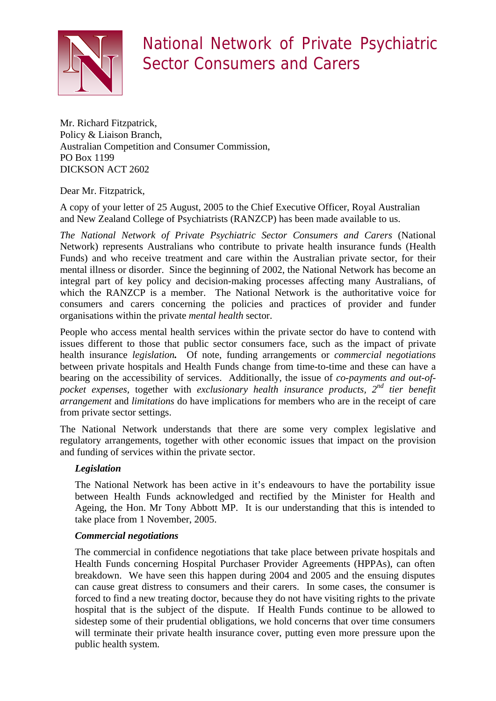

# National Network of Private Psychiatric Sector Consumers and Carers

Mr. Richard Fitzpatrick, Policy & Liaison Branch, Australian Competition and Consumer Commission, PO Box 1199 DICKSON ACT 2602

# Dear Mr. Fitzpatrick,

A copy of your letter of 25 August, 2005 to the Chief Executive Officer, Royal Australian and New Zealand College of Psychiatrists (RANZCP) has been made available to us.

*The National Network of Private Psychiatric Sector Consumers and Carers* (National Network) represents Australians who contribute to private health insurance funds (Health Funds) and who receive treatment and care within the Australian private sector, for their mental illness or disorder. Since the beginning of 2002, the National Network has become an integral part of key policy and decision-making processes affecting many Australians, of which the RANZCP is a member. The National Network is the authoritative voice for consumers and carers concerning the policies and practices of provider and funder organisations within the private *mental health* sector.

People who access mental health services within the private sector do have to contend with issues different to those that public sector consumers face, such as the impact of private health insurance *legislation.* Of note, funding arrangements or *commercial negotiations* between private hospitals and Health Funds change from time-to-time and these can have a bearing on the accessibility of services. Additionally, the issue of *co-payments and out-ofpocket expenses,* together with *exclusionary health insurance products, 2nd tier benefit arrangement* and *limitations* do have implications for members who are in the receipt of care from private sector settings.

The National Network understands that there are some very complex legislative and regulatory arrangements, together with other economic issues that impact on the provision and funding of services within the private sector.

# *Legislation*

The National Network has been active in it's endeavours to have the portability issue between Health Funds acknowledged and rectified by the Minister for Health and Ageing, the Hon. Mr Tony Abbott MP. It is our understanding that this is intended to take place from 1 November, 2005.

# *Commercial negotiations*

The commercial in confidence negotiations that take place between private hospitals and Health Funds concerning Hospital Purchaser Provider Agreements (HPPAs), can often breakdown. We have seen this happen during 2004 and 2005 and the ensuing disputes can cause great distress to consumers and their carers. In some cases, the consumer is forced to find a new treating doctor, because they do not have visiting rights to the private hospital that is the subject of the dispute. If Health Funds continue to be allowed to sidestep some of their prudential obligations, we hold concerns that over time consumers will terminate their private health insurance cover, putting even more pressure upon the public health system.